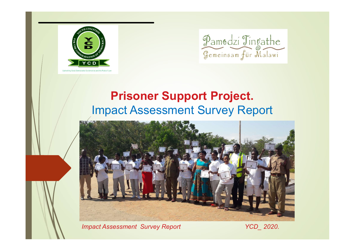



#### Prisoner Support Project. Impact Assessment Survey Report



Impact Assessment Survey Report No. 2020.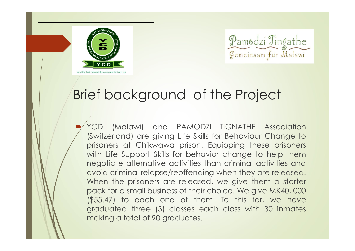



#### Brief background of the Project

The Same dzi Tingathe<br>
The Same dzi Tingathe<br>
The Same dzi Tingathe<br>
Same dzi Tingathe<br>
Same dzi Tingathe<br>
Same dzi Cingathe Association<br>
Same discussion: Equipped to the Brisoners<br>
With Life Support Skills for behavior ch Tingathe<br>
Semeinsam für Malawi<br>
Semeinsam für Malawi<br>
Semeinsam für Malawi<br>
(Switzerland) are giving Life Skills for Behaviour Change to<br>
prisoners at Chikwawa prison: Equipping these prisoners<br>
with Life Support Skills fo paredzi Tingathe<br>
Frank Tingathe<br>
Frank Tingathe<br>
Pemeinsam für Malawi<br>
Semeinsam für Malawi<br>
(Switzerland) and PAMODZI TIGNATHE Association<br>
(Switzerland) are giving life Skills for Behaviour Change to<br>
prisoners at Chikw Gemeinsam für Malawi<br>
Gemeinsam für Malawi<br>
YCD (Malawi) and PAMODZI TIGNATHE Association<br>
(Switzerland) are giving Life Skills for Behaviour Change to<br>
prisoners at Chikwawa prison: Equipping these prisoners<br>
with Life Su Frank Control of the Project<br>
For Malawi) and PAMODZI TIGNATHE Association<br>
(Switzerland) are giving Life Skills for Behaviour Change to<br>
prisoners at Chikwawa prison: Equipping these prisoners<br>
with Life Support Skills fo **Example:**<br> **avoid complete**<br> **a** criminal relation of the Project<br>
(Switzerland) are giving Life Skills for Behaviour Change to<br>
prisoners at Chikwawa prison: Equipping these prisoners<br>
with Life Support Skills for behavi ef background of the Project<br>YCD (Malawi) and PAMODZI TIGNATHE Association<br>(Switzerland) are giving Life Skills for Behaviour Change to<br>prisoners at Chikwawa prison: Equipping these prisoners<br>with Life Support Skills for b ef background of the Project<br>
YCD (Malawi) and PAMODZI TIGNATHE Association<br>
(Switzerland) are giving Life Skills for Behaviour Change to<br>
prisoners at Chikwawa prison: Equipping these prisoners<br>
with Life Support Skills f **EF DACKGITOUNC OF THE PITOJECT**<br>
YCD (Malawi) and PAMODZI TIGNATHE Association<br>
(Switzerland) are giving Life Skills for Behaviour Change to<br>
prisoners at Chikwawa prison: Equipping these prisoners<br>
with Life Support Skil YCD (Malawi) and PAMODZI TIGNATHE Association (Switzerland) are giving Life Skills for Behaviour Change to prisoners at Chikwawa prison: Equipping these prisoners with Life Support Skills for behavior change to help them n The Muslem of PAMODZI TIGNATHE Association<br>
Switzerland) are giving Life Skills for Behaviour Change to prisoners at Chikwawa prison: Equipping these prisone<br>
with Life Support Skills for behavior change to help then<br>
nego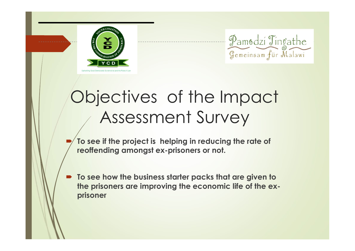



### Objectives of the Impact Assessment Survey

- To see if the project is helping in reducing the rate of reoffending amongst ex-prisoners or not.
- To see how the business starter packs that are given to the prisoners are improving the economic life of the exprisoner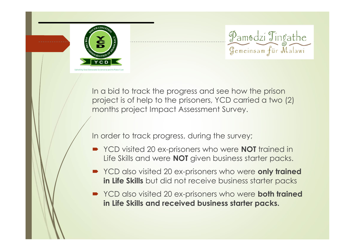



In a bid to track the progress and see how the prison project is of help to the prisoners, YCD carried a two (2) months project Impact Assessment Survey.

In order to track progress, during the survey;

- YCD visited 20 ex-prisoners who were **NOT** trained in Life Skills and were **NOT** given business starter packs.
- YCD also visited 20 ex-prisoners who were only trained in Life Skills but did not receive business starter packs
- YCD also visited 20 ex-prisoners who were both trained in Life Skills and received business starter packs.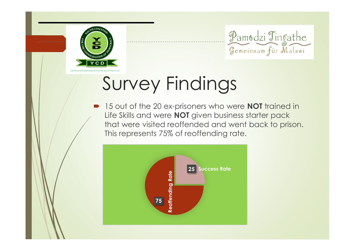



■ 15 out of the 20 ex-prisoners who were NOT trained in Life Skills and were NOT given business starter pack that were visited reoffended and went back to prison. This represents 75% of reoffending rate.

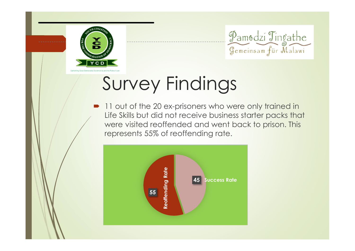



■ 11 out of the 20 ex-prisoners who were only trained in Life Skills but did not receive business starter packs that were visited reoffended and went back to prison. This represents 55% of reoffending rate.

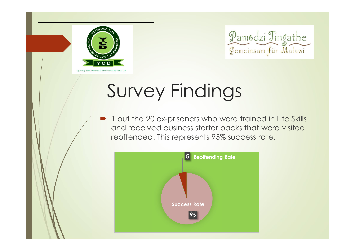



 1 out the 20 ex-prisoners who were trained in Life Skills and received business starter packs that were visited reoffended. This represents 95% success rate. Gemeinsam für Malawi<br> **Container Alawi**<br>
Seners who were trained in Life Skills<br>
Sess starter packs that were visited<br>
Secoffending Rate<br>
Secoffending Rate

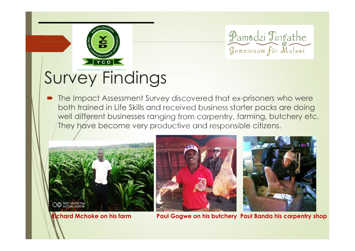



 The Impact Assessment Survey discovered that ex-prisoners who were both trained in Life Skills and received business starter packs are doing well different businesses ranging from carpentry, farming, butchery etc. They have become very productive and responsible citizens.







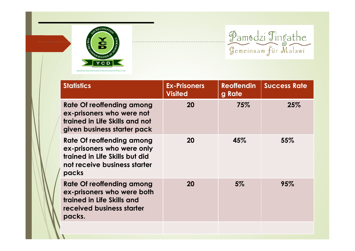



| Pamodzí Tingathe<br>$\mathbf{R}$<br>FOR THE<br>Y C D<br>Upholding Good Democratic Governance and the Rule of Law                          |                                       |                             |                     |
|-------------------------------------------------------------------------------------------------------------------------------------------|---------------------------------------|-----------------------------|---------------------|
| <b>Statistics</b>                                                                                                                         | <b>Ex-Prisoners</b><br><b>Visited</b> | <b>Reoffendin</b><br>g Rate | <b>Success Rate</b> |
| <b>Rate Of reoffending among</b><br>ex-prisoners who were not<br>trained in Life Skills and not<br>given business starter pack            | 20                                    | 75%                         | 25%                 |
| <b>Rate Of reoffending among</b><br>ex-prisoners who were only<br>trained in Life Skills but did<br>not receive business starter<br>packs | 20                                    | 45%                         | 55%                 |
| <b>Rate Of reoffending among</b><br>ex-prisoners who were both<br>trained in Life Skills and<br>received business starter<br>packs.       | 20                                    | 5%                          | 95%                 |
|                                                                                                                                           |                                       |                             |                     |